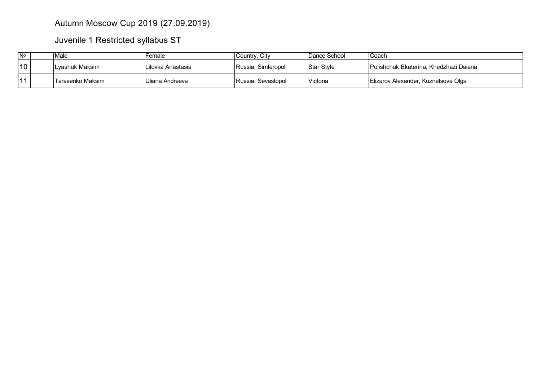## Autumn Moscow Cup 2019 (27.09.2019)

Juvenile 1 Restricted syllabus ST

| N <sub>2</sub> | Male             | Female            | Country, City      | Dance School | Coach                                  |
|----------------|------------------|-------------------|--------------------|--------------|----------------------------------------|
| 10             | Lvashuk Maksim   | Litovka Anastasia | Russia, Simferopol | Star Style   | Polishchuk Ekaterina. Khedzhazi Dajana |
| 11             | Tarasenko Maksim | Uliana Andreeva   | Russia, Sevastopol | Victoria     | Elizarov Alexander, Kuznetsova Olga    |